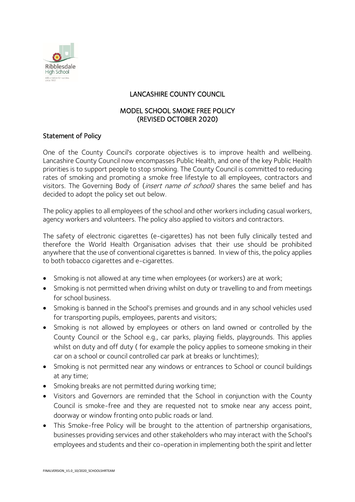

# LANCASHIRE COUNTY COUNCIL

### MODEL SCHOOL SMOKE FREE POLICY (REVISED OCTOBER 2020)

### Statement of Policy

One of the County Council's corporate objectives is to improve health and wellbeing. Lancashire County Council now encompasses Public Health, and one of the key Public Health priorities is to support people to stop smoking. The County Council is committed to reducing rates of smoking and promoting a smoke free lifestyle to all employees, contractors and visitors. The Governing Body of *(insert name of school)* shares the same belief and has decided to adopt the policy set out below.

The policy applies to all employees of the school and other workers including casual workers, agency workers and volunteers. The policy also applied to visitors and contractors.

The safety of electronic cigarettes (e-cigarettes) has not been fully clinically tested and therefore the World Health Organisation advises that their use should be prohibited anywhere that the use of conventional cigarettes is banned. In view of this, the policy applies to both tobacco cigarettes and e-cigarettes.

- Smoking is not allowed at any time when employees (or workers) are at work;
- Smoking is not permitted when driving whilst on duty or travelling to and from meetings for school business.
- Smoking is banned in the School's premises and grounds and in any school vehicles used for transporting pupils, employees, parents and visitors;
- Smoking is not allowed by employees or others on land owned or controlled by the County Council or the School e.g., car parks, playing fields, playgrounds. This applies whilst on duty and off duty ( for example the policy applies to someone smoking in their car on a school or council controlled car park at breaks or lunchtimes);
- Smoking is not permitted near any windows or entrances to School or council buildings at any time;
- Smoking breaks are not permitted during working time;
- Visitors and Governors are reminded that the School in conjunction with the County Council is smoke-free and they are requested not to smoke near any access point, doorway or window fronting onto public roads or land.
- This Smoke-free Policy will be brought to the attention of partnership organisations, businesses providing services and other stakeholders who may interact with the School's employees and students and their co-operation in implementing both the spirit and letter